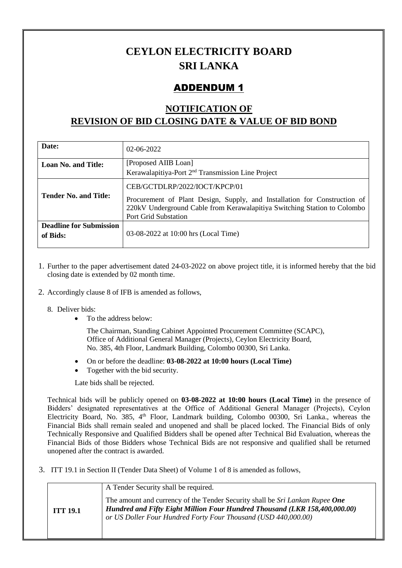## **CEYLON ELECTRICITY BOARD SRI LANKA**

## ADDENDUM 1

## **NOTIFICATION OF REVISION OF BID CLOSING DATE & VALUE OF BID BOND**

| Date:                                      | $02-06-2022$                                                                                                                                                                                                   |
|--------------------------------------------|----------------------------------------------------------------------------------------------------------------------------------------------------------------------------------------------------------------|
| <b>Loan No. and Title:</b>                 | [Proposed AIIB Loan]                                                                                                                                                                                           |
|                                            | Kerawalapitiya-Port 2 <sup>nd</sup> Transmission Line Project                                                                                                                                                  |
| <b>Tender No. and Title:</b>               | CEB/GCTDLRP/2022/IOCT/KPCP/01<br>Procurement of Plant Design, Supply, and Installation for Construction of<br>220kV Underground Cable from Kerawalapitiya Switching Station to Colombo<br>Port Grid Substation |
| <b>Deadline for Submission</b><br>of Bids: | 03-08-2022 at 10:00 hrs (Local Time)                                                                                                                                                                           |

- 1. Further to the paper advertisement dated 24-03-2022 on above project title, it is informed hereby that the bid closing date is extended by 02 month time.
- 2. Accordingly clause 8 of IFB is amended as follows,
	- 8. Deliver bids:
		- To the address below:

The Chairman, Standing Cabinet Appointed Procurement Committee (SCAPC), Office of Additional General Manager (Projects), Ceylon Electricity Board, No. 385, 4th Floor, Landmark Building, Colombo 00300, Sri Lanka.

- On or before the deadline: **03-08-2022 at 10:00 hours (Local Time)**
- Together with the bid security.

Late bids shall be rejected.

Technical bids will be publicly opened on **03-08-2022 at 10:00 hours (Local Time)** in the presence of Bidders' designated representatives at the Office of Additional General Manager (Projects), Ceylon Electricity Board, No. 385, 4<sup>th</sup> Floor, Landmark building, Colombo 00300, Sri Lanka., whereas the Financial Bids shall remain sealed and unopened and shall be placed locked. The Financial Bids of only Technically Responsive and Qualified Bidders shall be opened after Technical Bid Evaluation, whereas the Financial Bids of those Bidders whose Technical Bids are not responsive and qualified shall be returned unopened after the contract is awarded.

3. ITT 19.1 in Section II (Tender Data Sheet) of Volume 1 of 8 is amended as follows,

|                 | A Tender Security shall be required.                                                                                                                                                                                         |
|-----------------|------------------------------------------------------------------------------------------------------------------------------------------------------------------------------------------------------------------------------|
| <b>ITT 19.1</b> | The amount and currency of the Tender Security shall be Sri Lankan Rupee One<br>Hundred and Fifty Eight Million Four Hundred Thousand (LKR 158,400,000.00)<br>or US Doller Four Hundred Forty Four Thousand (USD 440,000.00) |